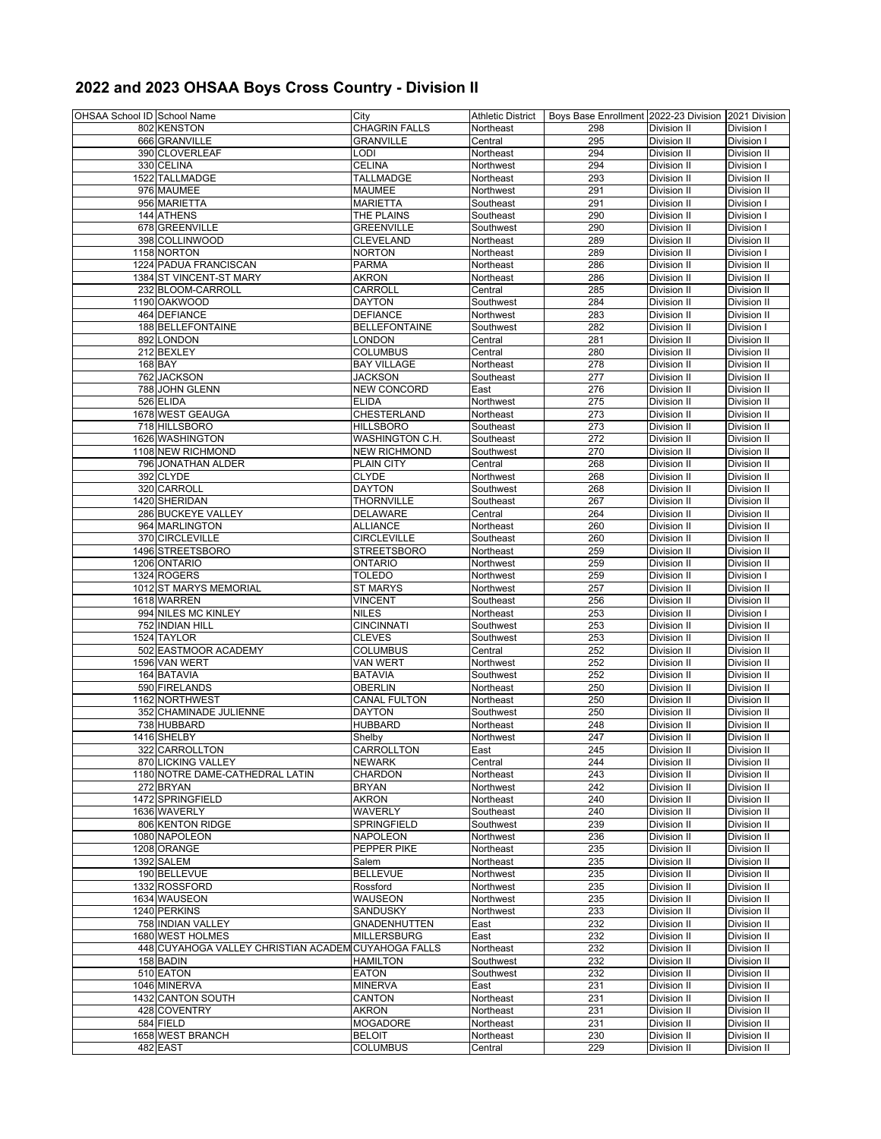## **2022 and 2023 OHSAA Boys Cross Country - Division II**

| OHSAA School ID School Name |                                                     | City                 | Athletic District | Boys Base Enrollment 2022-23 Division 2021 Division |             |             |
|-----------------------------|-----------------------------------------------------|----------------------|-------------------|-----------------------------------------------------|-------------|-------------|
|                             | 802 KENSTON                                         | <b>CHAGRIN FALLS</b> | Northeast         | 298                                                 | Division II | Division I  |
|                             | 666 GRANVILLE                                       | <b>GRANVILLE</b>     | Central           | 295                                                 | Division II | Division I  |
|                             |                                                     |                      |                   |                                                     |             |             |
|                             | 390 CLOVERLEAF                                      | LODI                 | Northeast         | 294                                                 | Division II | Division II |
|                             | 330 CELINA                                          | <b>CELINA</b>        | Northwest         | 294                                                 | Division II | Division I  |
|                             | 1522 TALLMADGE                                      | <b>TALLMADGE</b>     | Northeast         | 293                                                 | Division II | Division II |
|                             | 976 MAUMEE                                          | <b>MAUMEE</b>        | Northwest         | 291                                                 | Division II | Division II |
|                             | 956 MARIETTA                                        | <b>MARIETTA</b>      | Southeast         | 291                                                 | Division II | Division I  |
|                             | 144 ATHENS                                          | THE PLAINS           | Southeast         | 290                                                 | Division II | Division I  |
|                             | 678 GREENVILLE                                      | <b>GREENVILLE</b>    | Southwest         | 290                                                 | Division II | Division I  |
|                             |                                                     |                      |                   |                                                     |             |             |
|                             | 398 COLLINWOOD                                      | <b>CLEVELAND</b>     | Northeast         | 289                                                 | Division II | Division II |
|                             | 1158 NORTON                                         | <b>NORTON</b>        | Northeast         | 289                                                 | Division II | Division I  |
|                             | 1224 PADUA FRANCISCAN                               | <b>PARMA</b>         | Northeast         | 286                                                 | Division II | Division II |
|                             | 1384 ST VINCENT-ST MARY                             | <b>AKRON</b>         | Northeast         | 286                                                 | Division II | Division II |
|                             | 232 BLOOM-CARROLL                                   | CARROLL              | Central           | 285                                                 | Division II | Division II |
|                             | 1190 OAKWOOD                                        | <b>DAYTON</b>        | Southwest         | 284                                                 | Division II | Division II |
|                             | 464 DEFIANCE                                        | <b>DEFIANCE</b>      | Northwest         | 283                                                 | Division II | Division II |
|                             | 188 BELLEFONTAINE                                   | <b>BELLEFONTAINE</b> | Southwest         | 282                                                 | Division II | Division I  |
|                             | 892 LONDON                                          | LONDON               | Central           | 281                                                 | Division II | Division II |
|                             |                                                     |                      |                   |                                                     |             |             |
|                             | 212 BEXLEY                                          | <b>COLUMBUS</b>      | Central           | 280                                                 | Division II | Division II |
|                             | 168 BAY                                             | <b>BAY VILLAGE</b>   | Northeast         | 278                                                 | Division II | Division II |
|                             | 762 JACKSON                                         | <b>JACKSON</b>       | Southeast         | 277                                                 | Division II | Division II |
|                             | 788 JOHN GLENN                                      | <b>NEW CONCORD</b>   | East              | 276                                                 | Division II | Division II |
|                             | 526 ELIDA                                           | <b>ELIDA</b>         | Northwest         | 275                                                 | Division II | Division II |
|                             | 1678 WEST GEAUGA                                    | CHESTERLAND          | Northeast         | 273                                                 | Division II | Division II |
|                             | 718 HILLSBORO                                       | <b>HILLSBORO</b>     | Southeast         | 273                                                 | Division II | Division II |
|                             | 1626 WASHINGTON                                     | WASHINGTON C.H.      | Southeast         | 272                                                 | Division II | Division II |
|                             | 1108 NEW RICHMOND                                   | <b>NEW RICHMOND</b>  |                   |                                                     |             |             |
|                             |                                                     |                      | Southwest         | 270                                                 | Division II | Division II |
|                             | 796 JONATHAN ALDER                                  | PLAIN CITY           | Central           | 268                                                 | Division II | Division II |
|                             | 392 CLYDE                                           | <b>CLYDE</b>         | Northwest         | 268                                                 | Division II | Division II |
|                             | 320 CARROLL                                         | <b>DAYTON</b>        | Southwest         | 268                                                 | Division II | Division II |
|                             | 1420 SHERIDAN                                       | <b>THORNVILLE</b>    | Southeast         | 267                                                 | Division II | Division II |
|                             | 286 BUCKEYE VALLEY                                  | <b>DELAWARE</b>      | Central           | 264                                                 | Division II | Division II |
|                             | 964 MARLINGTON                                      | <b>ALLIANCE</b>      | Northeast         | 260                                                 | Division II | Division II |
|                             | 370 CIRCLEVILLE                                     | <b>CIRCLEVILLE</b>   | Southeast         | 260                                                 | Division II | Division II |
|                             |                                                     | <b>STREETSBORO</b>   |                   | 259                                                 | Division II |             |
|                             | 1496 STREETSBORO                                    |                      | Northeast         |                                                     |             | Division II |
|                             | 1206 ONTARIO                                        | <b>ONTARIO</b>       | Northwest         | 259                                                 | Division II | Division II |
|                             | 1324 ROGERS                                         | <b>TOLEDO</b>        | Northwest         | 259                                                 | Division II | Division I  |
|                             | 1012 ST MARYS MEMORIAL                              | <b>ST MARYS</b>      | Northwest         | 257                                                 | Division II | Division II |
|                             | 1618 WARREN                                         | <b>VINCENT</b>       | Southeast         | 256                                                 | Division II | Division II |
|                             | 994 NILES MC KINLEY                                 | <b>NILES</b>         | Northeast         | 253                                                 | Division II | Division I  |
|                             | 752 INDIAN HILL                                     | <b>CINCINNATI</b>    | Southwest         | 253                                                 | Division II | Division II |
|                             | 1524 TAYLOR                                         | <b>CLEVES</b>        | Southwest         | 253                                                 | Division II | Division II |
|                             | 502 EASTMOOR ACADEMY                                | <b>COLUMBUS</b>      | Central           | 252                                                 | Division II | Division II |
|                             |                                                     |                      |                   |                                                     |             |             |
|                             | 1596 VAN WERT                                       | <b>VAN WERT</b>      | Northwest         | 252                                                 | Division II | Division II |
|                             | 164 BATAVIA                                         | <b>BATAVIA</b>       | Southwest         | 252                                                 | Division II | Division II |
|                             | 590 FIRELANDS                                       | <b>OBERLIN</b>       | Northeast         | 250                                                 | Division II | Division II |
|                             | 1162 NORTHWEST                                      | <b>CANAL FULTON</b>  | Northeast         | 250                                                 | Division II | Division II |
|                             | 352 CHAMINADE JULIENNE                              | <b>DAYTON</b>        | Southwest         | 250                                                 | Division II | Division II |
|                             | 738 HUBBARD                                         | <b>HUBBARD</b>       | Northeast         | 248                                                 | Division II | Division II |
|                             | 1416 SHELBY                                         | Shelby               | Northwest         | 247                                                 | Division II | Division II |
|                             | 322 CARROLLTON                                      | CARROLLTON           | East              | 245                                                 | Division II | Division II |
|                             | 870 LICKING VALLEY                                  |                      |                   |                                                     |             |             |
|                             |                                                     | <b>NEWARK</b>        | Central           | 244                                                 | Division II | Division II |
|                             | 1180 NOTRE DAME-CATHEDRAL LATIN                     | CHARDON              | Northeast         | 243                                                 | Division II | Division II |
|                             | 272 BRYAN                                           | <b>BRYAN</b>         | Northwest         | 242                                                 | Division II | Division II |
|                             | 1472 SPRINGFIELD                                    | <b>AKRON</b>         | Northeast         | 240                                                 | Division II | Division II |
|                             | 1636 WAVERLY                                        | WAVERLY              | Southeast         | 240                                                 | Division II | Division II |
|                             | 806 KENTON RIDGE                                    | SPRINGFIELD          | Southwest         | 239                                                 | Division II | Division II |
|                             | 1080 NAPOLEON                                       | <b>NAPOLEON</b>      | Northwest         | 236                                                 | Division II | Division II |
|                             | 1208 ORANGE                                         | PEPPER PIKE          | Northeast         | 235                                                 | Division II | Division II |
|                             | 1392 SALEM                                          | Salem                | Northeast         | 235                                                 | Division II | Division II |
|                             | 190 BELLEVUE                                        | <b>BELLEVUE</b>      |                   | 235                                                 | Division II | Division II |
|                             |                                                     |                      | Northwest         |                                                     |             |             |
|                             | 1332 ROSSFORD                                       | Rossford             | Northwest         | 235                                                 | Division II | Division II |
|                             | 1634 WAUSEON                                        | <b>WAUSEON</b>       | Northwest         | 235                                                 | Division II | Division II |
|                             | 1240 PERKINS                                        | SANDUSKY             | Northwest         | 233                                                 | Division II | Division II |
|                             | 758 INDIAN VALLEY                                   | <b>GNADENHUTTEN</b>  | East              | 232                                                 | Division II | Division II |
|                             | 1680 WEST HOLMES                                    | <b>MILLERSBURG</b>   | East              | 232                                                 | Division II | Division II |
|                             | 448 CUYAHOGA VALLEY CHRISTIAN ACADEM CUYAHOGA FALLS |                      | Northeast         | 232                                                 | Division II | Division II |
|                             | 158 BADIN                                           | <b>HAMILTON</b>      | Southwest         | 232                                                 | Division II | Division II |
|                             |                                                     |                      |                   |                                                     |             |             |
|                             | 510 EATON                                           | <b>EATON</b>         | Southwest         | 232                                                 | Division II | Division II |
|                             | 1046 MINERVA                                        | <b>MINERVA</b>       | East              | 231                                                 | Division II | Division II |
|                             | 1432 CANTON SOUTH                                   | CANTON               | Northeast         | 231                                                 | Division II | Division II |
|                             | 428 COVENTRY                                        | <b>AKRON</b>         | Northeast         | 231                                                 | Division II | Division II |
|                             | 584 FIELD                                           | <b>MOGADORE</b>      | Northeast         | 231                                                 | Division II | Division II |
|                             | 1658 WEST BRANCH                                    | <b>BELOIT</b>        | Northeast         | 230                                                 | Division II | Division II |
|                             | 482 EAST                                            | <b>COLUMBUS</b>      | Central           | 229                                                 | Division II | Division II |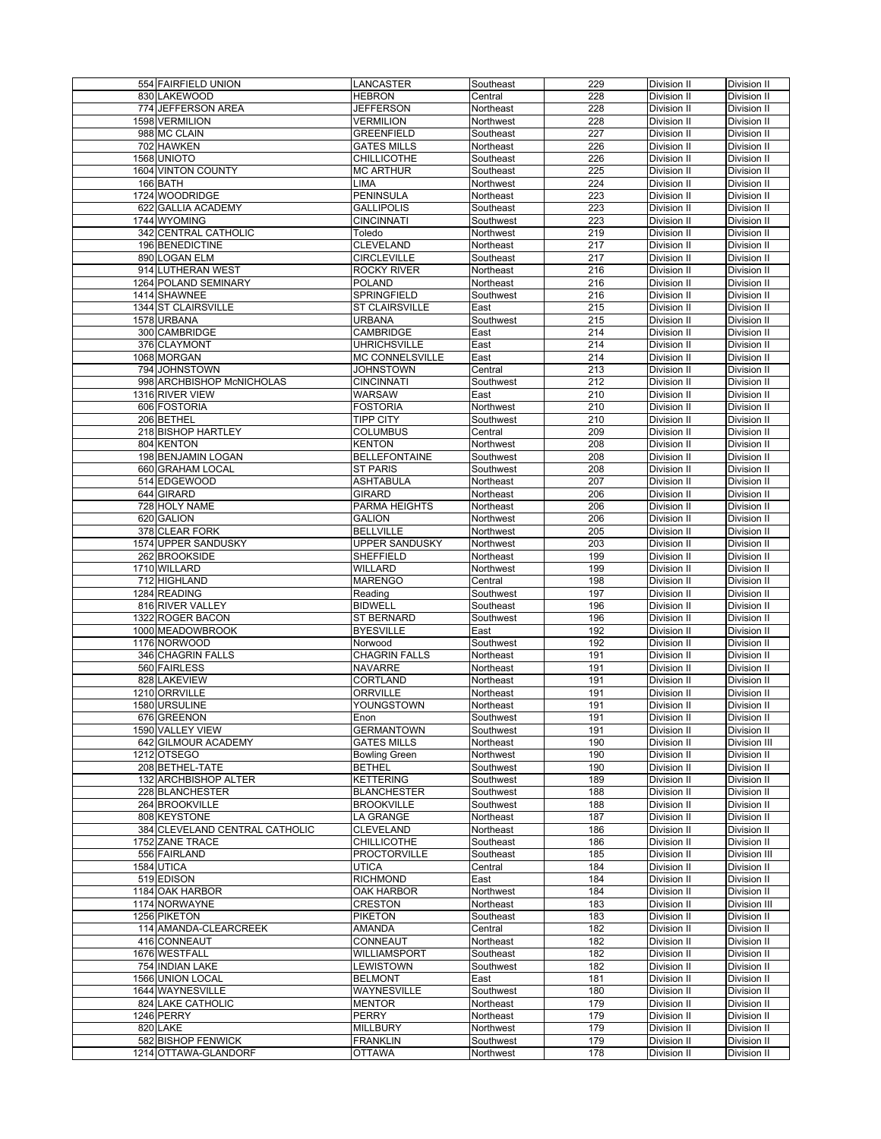| 554 FAIRFIELD UNION                        | <b>LANCASTER</b>                          | Southeast              | 229        | Division II                | Division II                        |
|--------------------------------------------|-------------------------------------------|------------------------|------------|----------------------------|------------------------------------|
| 830 LAKEWOOD                               | <b>HEBRON</b>                             | Central                | 228        | Division II                | Division II                        |
| 774 JEFFERSON AREA                         | <b>JEFFERSON</b>                          | Northeast              | 228        | Division II                | Division II                        |
| 1598 VERMILION                             | VERMILION                                 | Northwest              | 228        | Division II                | Division II                        |
| 988 MC CLAIN                               | <b>GREENFIELD</b>                         | Southeast              | 227        | Division II                | Division II                        |
| 702 HAWKEN                                 | <b>GATES MILLS</b>                        | Northeast              | 226        | Division II                | Division II                        |
| 1568 UNIOTO                                | <b>CHILLICOTHE</b>                        | Southeast              | 226        | Division II                | Division II                        |
| <b>1604 VINTON COUNTY</b>                  | <b>MC ARTHUR</b>                          | Southeast              | 225        | Division II                | Division II                        |
| 166 BATH                                   | LIMA                                      | Northwest              | 224        | Division II                | Division II                        |
| 1724 WOODRIDGE                             | <b>PENINSULA</b>                          | Northeast              | 223        | Division II                | Division II                        |
| 622 GALLIA ACADEMY                         | GALLIPOLIS                                | Southeast              | 223        | Division II                | Division II                        |
| 1744 WYOMING                               | <b>CINCINNATI</b>                         | Southwest              | 223        | Division II                | Division II                        |
| 342 CENTRAL CATHOLIC                       | Toledo                                    | Northwest              | 219        | Division II                | Division II                        |
| 196 BENEDICTINE                            | <b>CLEVELAND</b>                          | Northeast              | 217        | Division II                | Division II                        |
| 890 LOGAN ELM                              | <b>CIRCLEVILLE</b>                        | Southeast              | 217        | Division II                | Division II                        |
| 914 LUTHERAN WEST                          | <b>ROCKY RIVER</b>                        | Northeast              | 216        | Division II                | Division II                        |
| 1264 POLAND SEMINARY                       | <b>POLAND</b>                             | Northeast              | 216        | Division II                | Division II                        |
| 1414 SHAWNEE                               | SPRINGFIELD                               | Southwest              | 216        | Division II                | Division II                        |
| 1344 ST CLAIRSVILLE                        | <b>ST CLAIRSVILLE</b>                     | East                   | 215        | Division II                | Division II                        |
| 1578 URBANA                                | <b>URBANA</b>                             | Southwest              | 215        | Division II                | Division II                        |
| 300 CAMBRIDGE                              | <b>CAMBRIDGE</b>                          | East                   | 214        | Division II                | Division II                        |
| 376 CLAYMONT                               | <b>UHRICHSVILLE</b>                       | East                   | 214        | Division II                | Division II                        |
| 1068 MORGAN                                | <b>MC CONNELSVILLE</b>                    | East                   | 214        | Division II                | Division II                        |
| 794 JOHNSTOWN                              | JOHNSTOWN                                 | Central                | 213        | Division II                | Division II                        |
| 998 ARCHBISHOP McNICHOLAS                  | <b>CINCINNATI</b>                         | Southwest              | 212        | Division II                | Division II                        |
| 1316 RIVER VIEW                            | <b>WARSAW</b>                             | East                   | 210        | Division II                | Division II                        |
| 606 FOSTORIA                               | <b>FOSTORIA</b>                           | Northwest              | 210        | Division II                | Division II                        |
| 206 BETHEL                                 | <b>TIPP CITY</b>                          | Southwest              | 210        | Division II                | Division II                        |
| 218 BISHOP HARTLEY                         | <b>COLUMBUS</b>                           | Central                | 209        | Division II                | Division II                        |
| 804 KENTON                                 | <b>KENTON</b>                             | Northwest              | 208        | Division II                | Division II                        |
| 198 BENJAMIN LOGAN                         | <b>BELLEFONTAINE</b>                      | Southwest              | 208        | Division II                | Division II                        |
| 660 GRAHAM LOCAL                           | <b>ST PARIS</b>                           | Southwest              | 208        | Division II                | Division II                        |
| 514 EDGEWOOD                               | <b>ASHTABULA</b>                          | Northeast              | 207        | Division II                | Division II                        |
| 644 GIRARD                                 | <b>GIRARD</b>                             | Northeast              | 206        | Division II                | Division II                        |
| 728 HOLY NAME                              | PARMA HEIGHTS                             | Northeast              | 206        | Division II                | Division II                        |
| 620 GALION                                 | <b>GALION</b>                             | Northwest              | 206        | Division II                | Division II                        |
| 378 CLEAR FORK                             | <b>BELLVILLE</b>                          | Northwest              | 205        | Division II                | Division II                        |
| 1574 UPPER SANDUSKY                        | UPPER SANDUSKY                            | Northwest              | 203        | Division II                | Division II                        |
| 262 BROOKSIDE                              | SHEFFIELD                                 | Northeast              | 199        | Division II                | Division II                        |
| 1710 WILLARD                               | WILLARD                                   | Northwest              | 199        | Division II                | Division II                        |
| 712 HIGHLAND                               | <b>MARENGO</b>                            | Central                | 198        | Division II                | Division II                        |
| 1284 READING                               | Reading                                   | Southwest              | 197        | Division II                | Division II                        |
| 816 RIVER VALLEY                           | <b>BIDWELL</b>                            | Southeast              | 196        | Division II                | Division II                        |
| 1322 ROGER BACON                           | <b>ST BERNARD</b>                         | Southwest              | 196        | Division II                | Division II                        |
| 1000 MEADOWBROOK                           | <b>BYESVILLE</b>                          | East                   | 192        | Division II                | Division II                        |
| 1176 NORWOOD<br>346 CHAGRIN FALLS          | Norwood<br><b>CHAGRIN FALLS</b>           | Southwest<br>Northeast | 192<br>191 | Division II<br>Division II | Division II<br>Division II         |
| 560 FAIRLESS                               | <b>NAVARRE</b>                            | Northeast              | 191        | Division II                | Division II                        |
| 828 LAKEVIEW                               | CORTLAND                                  | Northeast              | 191        | Division II                | Division II                        |
| 1210 ORRVILLE                              | <b>ORRVILLE</b>                           |                        |            |                            |                                    |
| 1580 URSULINE                              |                                           |                        |            |                            |                                    |
|                                            |                                           | Northeast              | 191        | Division II                | Division II                        |
|                                            | YOUNGSTOWN                                | Northeast              | 191        | Division II                | Division II                        |
| 676 GREENON                                | Enon                                      | Southwest              | 191        | Division II                | <b>Division II</b>                 |
| 1590 VALLEY VIEW                           | <b>GERMANTOWN</b>                         | Southwest              | 191        | Division II                | Division II                        |
| 642 GILMOUR ACADEMY                        | <b>GATES MILLS</b>                        | Northeast              | 190        | Division II                | Division III                       |
| 1212 OTSEGO                                | <b>Bowling Green</b>                      | Northwest              | 190        | Division II                | Division II                        |
| 208 BETHEL-TATE                            | <b>BETHEL</b>                             | Southwest              | 190        | Division II                | Division II                        |
| 132 ARCHBISHOP ALTER                       | <b>KETTERING</b>                          | Southwest              | 189        | Division II                | Division II                        |
| 228 BLANCHESTER                            | <b>BLANCHESTER</b>                        | Southwest              | 188        | Division II                | Division II                        |
| 264 BROOKVILLE                             | <b>BROOKVILLE</b>                         | Southwest              | 188        | Division II                | Division II                        |
| 808 KEYSTONE                               | LA GRANGE                                 | Northeast              | 187        | Division II                | Division II                        |
| 384 CLEVELAND CENTRAL CATHOLIC             | <b>CLEVELAND</b>                          | Northeast              | 186        | Division II                | Division II                        |
| 1752 ZANE TRACE                            | <b>CHILLICOTHE</b><br><b>PROCTORVILLE</b> | Southeast              | 186        | Division II                | Division II<br><b>Division III</b> |
| 556 FAIRLAND<br>1584 UTICA                 | <b>UTICA</b>                              | Southeast<br>Central   | 185<br>184 | Division II<br>Division II | Division II                        |
| 519 EDISON                                 | <b>RICHMOND</b>                           | East                   | 184        | Division II                | Division II                        |
| 1184 OAK HARBOR                            | OAK HARBOR                                | Northwest              | 184        | Division II                | Division II                        |
| 1174 NORWAYNE                              | <b>CRESTON</b>                            | Northeast              | 183        | Division II                | Division III                       |
| 1256 PIKETON                               | <b>PIKETON</b>                            | Southeast              | 183        | Division II                | Division II                        |
| 114 AMANDA-CLEARCREEK                      | AMANDA                                    | Central                | 182        | Division II                | Division II                        |
| 416 CONNEAUT                               | CONNEAUT                                  | Northeast              | 182        | Division II                | Division II                        |
| 1676 WESTFALL                              | <b>WILLIAMSPORT</b>                       | Southeast              | 182        | Division II                | Division II                        |
| 754 INDIAN LAKE                            | LEWISTOWN                                 | Southwest              | 182        | Division II                | Division II                        |
| 1566 UNION LOCAL                           | <b>BELMONT</b>                            | East                   | 181        | Division II                | Division II                        |
| 1644 WAYNESVILLE                           | WAYNESVILLE                               | Southwest              | 180        | Division II                | Division II                        |
| 824 LAKE CATHOLIC                          | <b>MENTOR</b>                             | Northeast              | 179        | Division II                | Division II                        |
| 1246 PERRY                                 | <b>PERRY</b>                              | Northeast              | 179        | Division II                | Division II                        |
| 820 LAKE                                   | <b>MILLBURY</b>                           | Northwest              | 179        | Division II                | Division II                        |
| 582 BISHOP FENWICK<br>1214 OTTAWA-GLANDORF | <b>FRANKLIN</b><br><b>OTTAWA</b>          | Southwest<br>Northwest | 179<br>178 | Division II<br>Division II | Division II<br>Division II         |